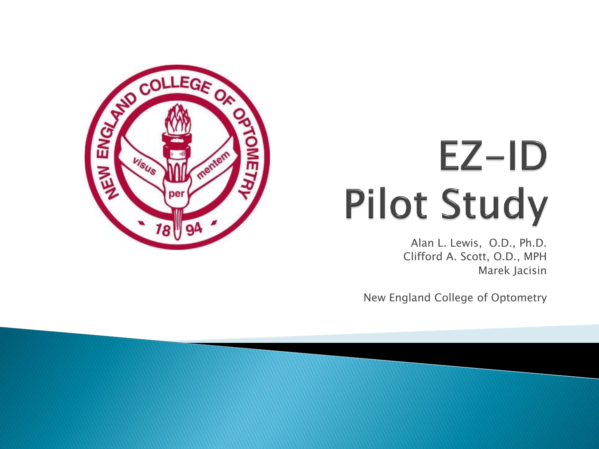

# $EZ-ID$ **Pilot Study**

Alan L. Lewis, O.D., Ph.D. Clifford A. Scott, O.D., MPH Marek Jacisin

New England College of Optometry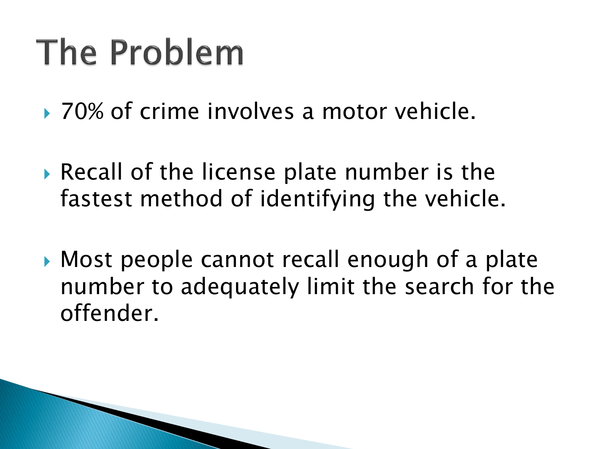# The Problem

- ▶ 70% of crime involves a motor vehicle.
- Recall of the license plate number is the fastest method of identifying the vehicle.
- Most people cannot recall enough of a plate number to adequately limit the search for the offender.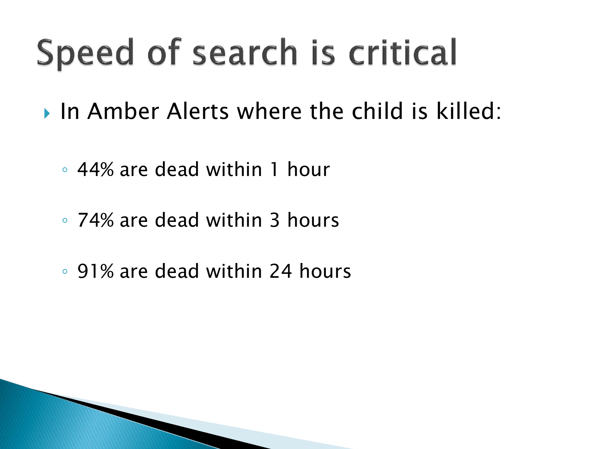# Speed of search is critical

- In Amber Alerts where the child is killed:
	- 44% are dead within 1 hour
	- 74% are dead within 3 hours
	- 91% are dead within 24 hours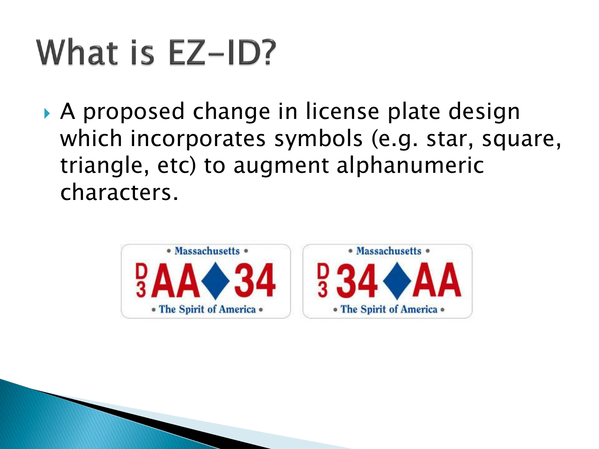# What is EZ-ID?

 A proposed change in license plate design which incorporates symbols (e.g. star, square, triangle, etc) to augment alphanumeric characters.

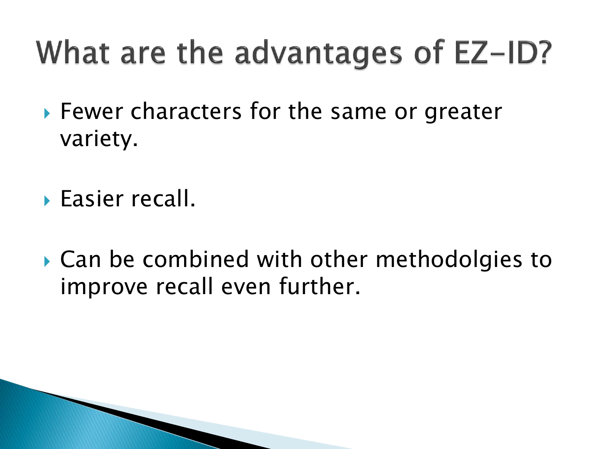#### What are the advantages of EZ-ID?

- ▶ Fewer characters for the same or greater variety.
- Easier recall.
- ▶ Can be combined with other methodolgies to improve recall even further.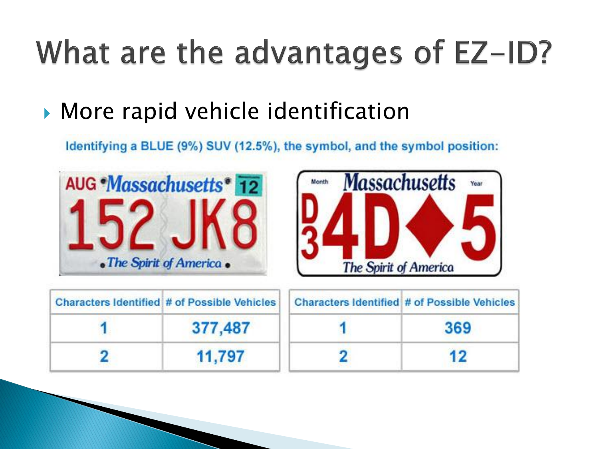#### What are the advantages of EZ-ID?

More rapid vehicle identification

Identifying a BLUE (9%) SUV (12.5%), the symbol, and the symbol position:





| <b>Characters Identified # of Possible Vehicles</b> |         | <b>Characters Identified # of Possible Vehicles</b> |
|-----------------------------------------------------|---------|-----------------------------------------------------|
|                                                     | 377,487 | 369                                                 |
|                                                     | 11,797  |                                                     |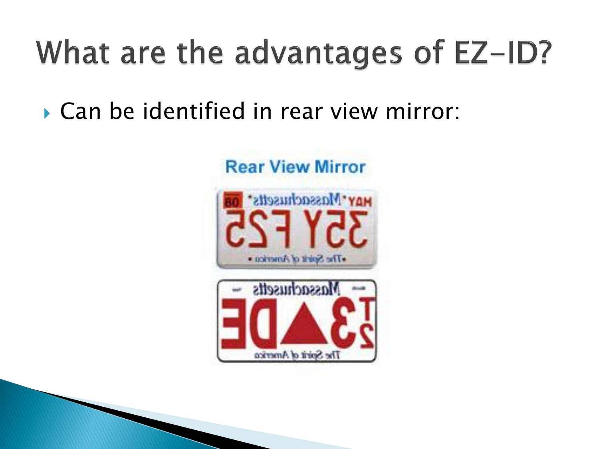#### What are the advantages of EZ-ID?

Can be identified in rear view mirror:

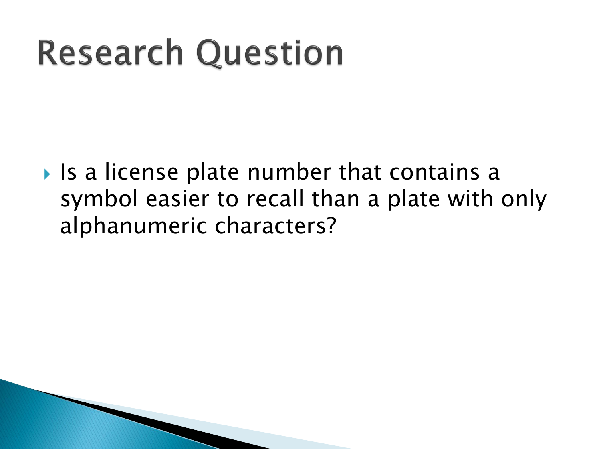# **Research Question**

 $\triangleright$  Is a license plate number that contains a symbol easier to recall than a plate with only alphanumeric characters?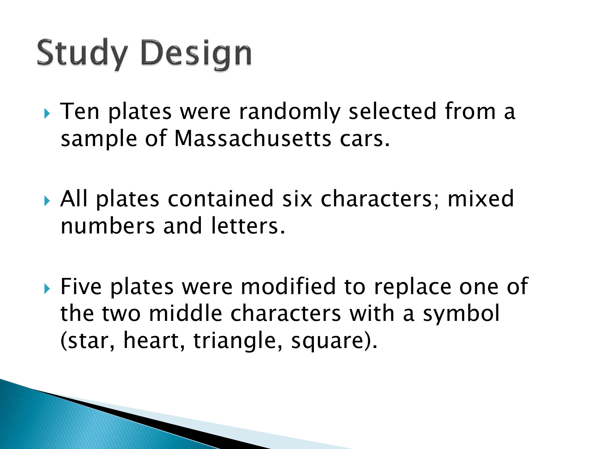# **Study Design**

- ▶ Ten plates were randomly selected from a sample of Massachusetts cars.
- ▶ All plates contained six characters; mixed numbers and letters.
- **Five plates were modified to replace one of** the two middle characters with a symbol (star, heart, triangle, square).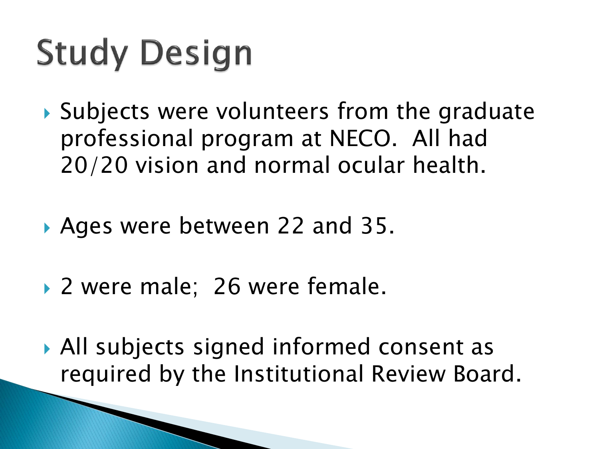# **Study Design**

- ▶ Subjects were volunteers from the graduate professional program at NECO. All had 20/20 vision and normal ocular health.
- Ages were between 22 and 35.
- ▶ 2 were male; 26 were female.

 All subjects signed informed consent as required by the Institutional Review Board.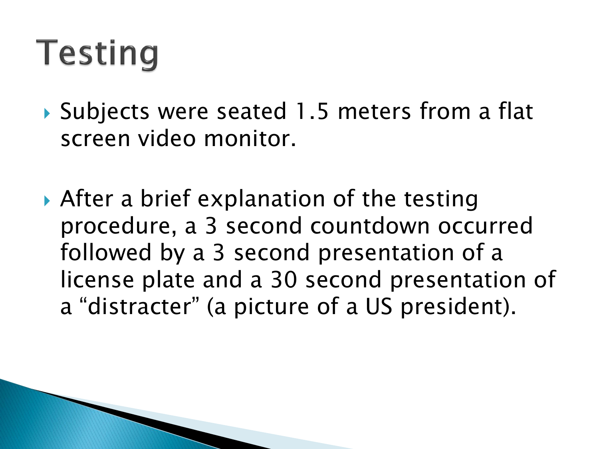- ▶ Subjects were seated 1.5 meters from a flat screen video monitor.
- After a brief explanation of the testing procedure, a 3 second countdown occurred followed by a 3 second presentation of a license plate and a 30 second presentation of a "distracter" (a picture of a US president).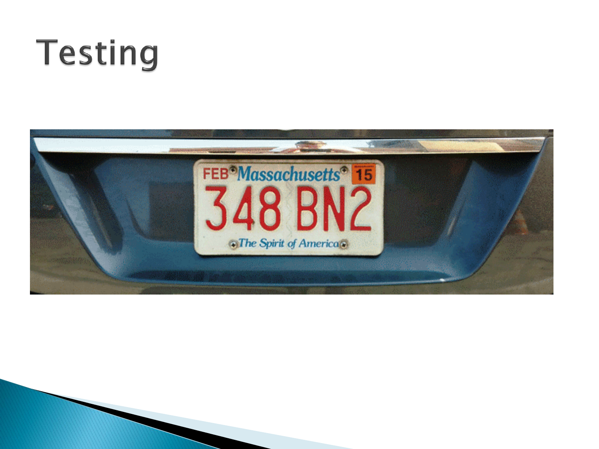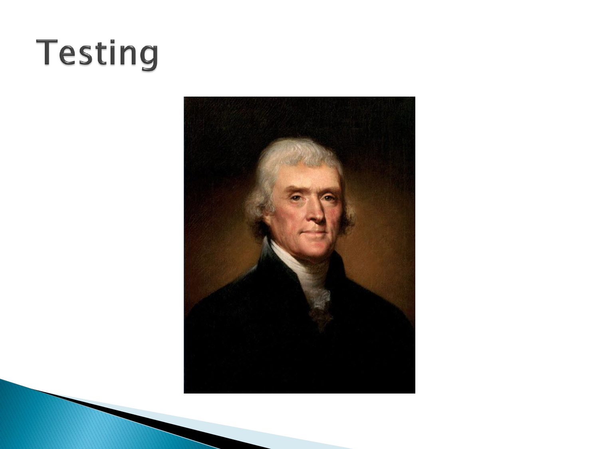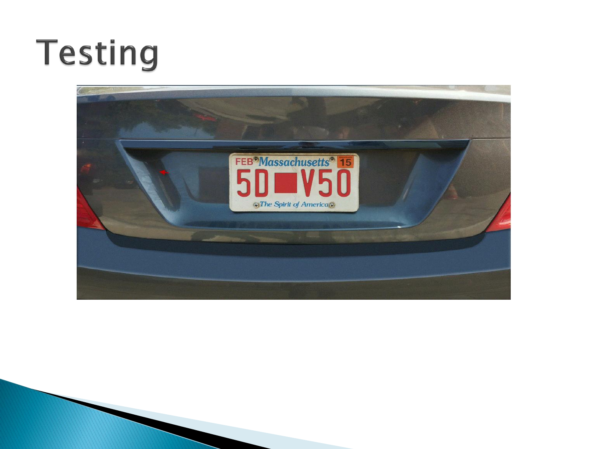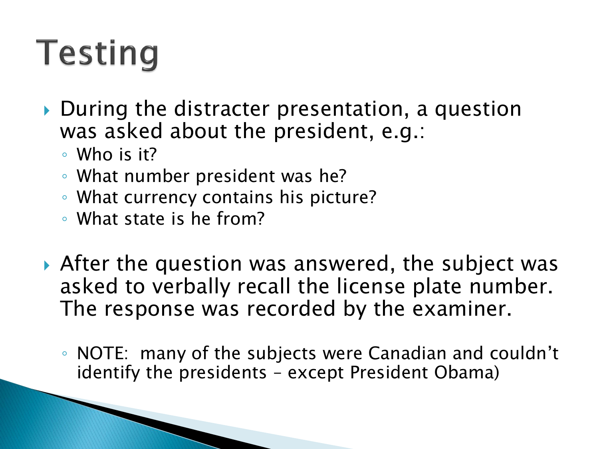- ▶ During the distracter presentation, a question was asked about the president, e.g.:
	- Who is it?
	- What number president was he?
	- What currency contains his picture?
	- What state is he from?
- After the question was answered, the subject was asked to verbally recall the license plate number. The response was recorded by the examiner.
	- NOTE: many of the subjects were Canadian and couldn't identify the presidents – except President Obama)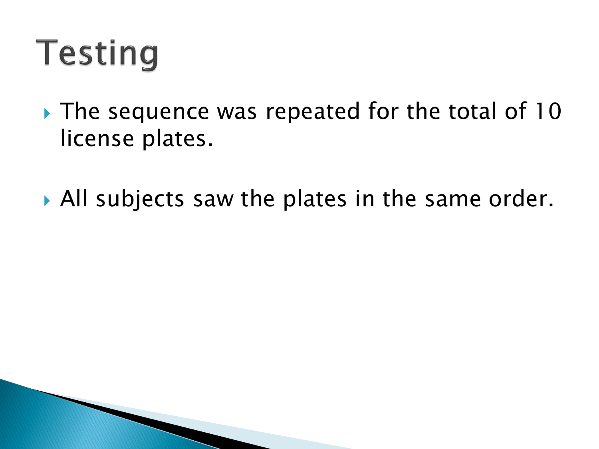- The sequence was repeated for the total of 10 license plates.
- ▶ All subjects saw the plates in the same order.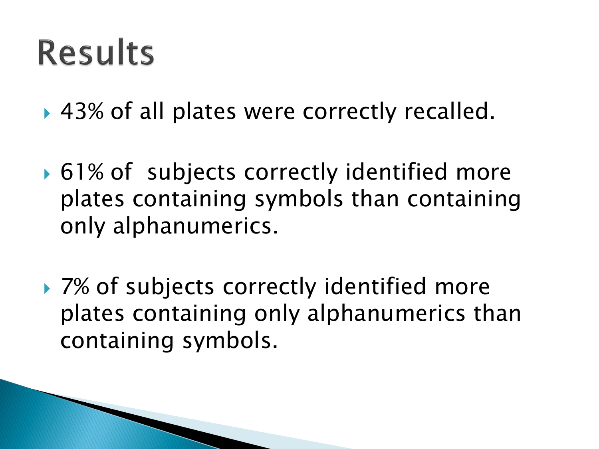▶ 43% of all plates were correctly recalled.

- ▶ 61% of subjects correctly identified more plates containing symbols than containing only alphanumerics.
- ▶ 7% of subjects correctly identified more plates containing only alphanumerics than containing symbols.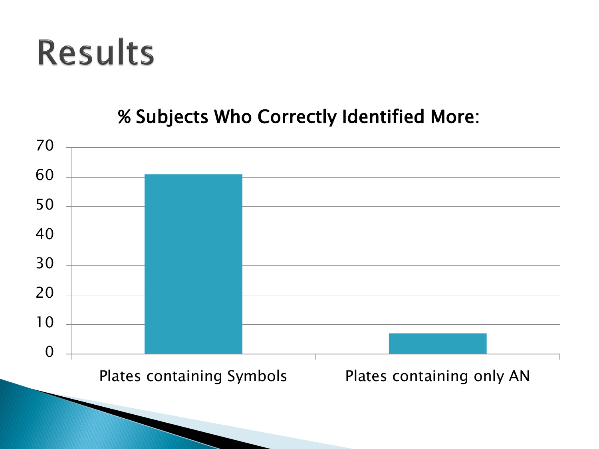#### % Subjects Who Correctly Identified More:

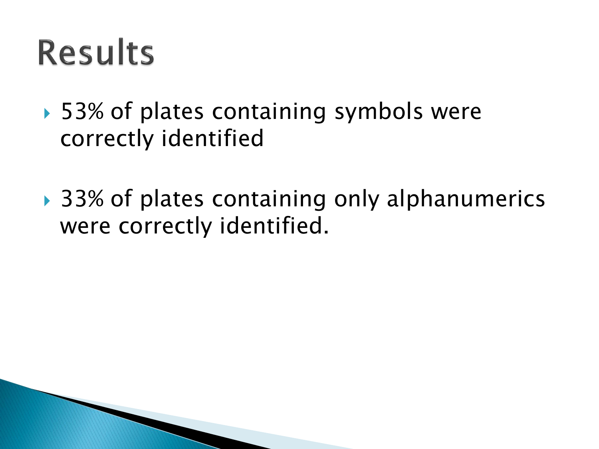- ▶ 53% of plates containing symbols were correctly identified
- ▶ 33% of plates containing only alphanumerics were correctly identified.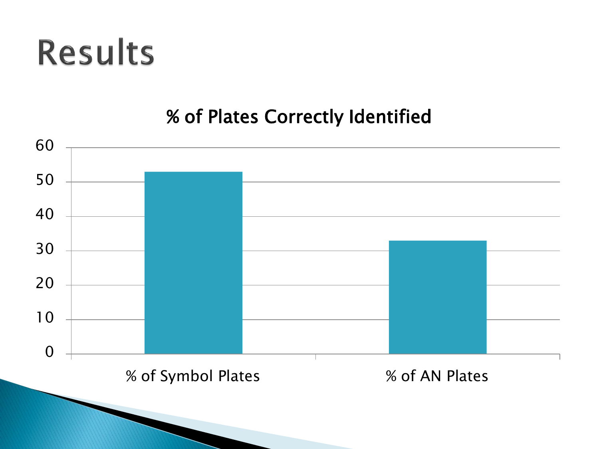#### % of Plates Correctly Identified

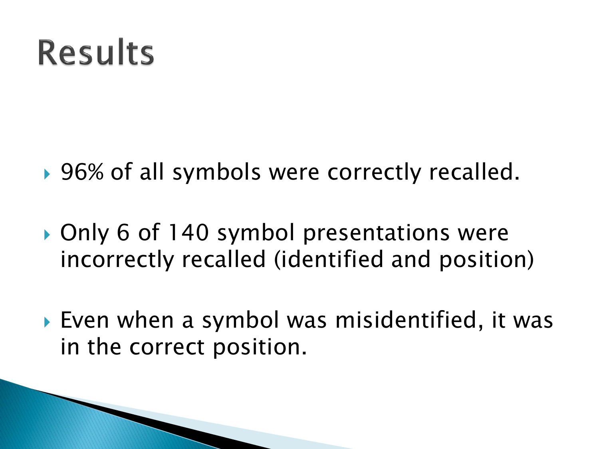- ▶ 96% of all symbols were correctly recalled.
- ▶ Only 6 of 140 symbol presentations were incorrectly recalled (identified and position)
- Even when a symbol was misidentified, it was in the correct position.